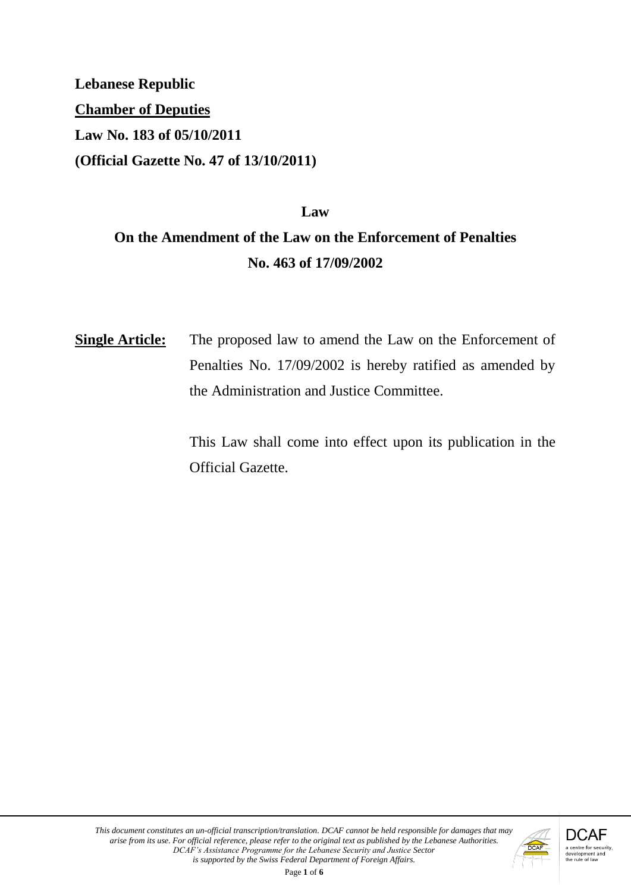**Lebanese Republic Chamber of Deputies Law No. 183 of 05/10/2011 (Official Gazette No. 47 of 13/10/2011)**

# **Law On the Amendment of the Law on the Enforcement of Penalties No. 463 of 17/09/2002**

**Single Article:** The proposed law to amend the Law on the Enforcement of Penalties No. 17/09/2002 is hereby ratified as amended by the Administration and Justice Committee.

> This Law shall come into effect upon its publication in the Official Gazette.

Page **1** of **6**

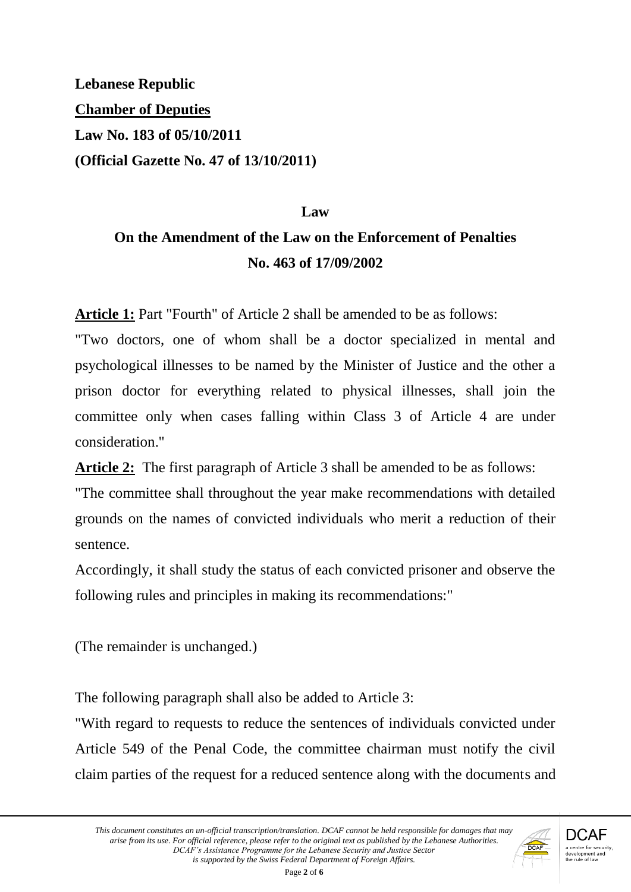**Lebanese Republic Chamber of Deputies Law No. 183 of 05/10/2011 (Official Gazette No. 47 of 13/10/2011)**

#### **Law**

# **On the Amendment of the Law on the Enforcement of Penalties No. 463 of 17/09/2002**

**Article 1:** Part "Fourth" of Article 2 shall be amended to be as follows:

"Two doctors, one of whom shall be a doctor specialized in mental and psychological illnesses to be named by the Minister of Justice and the other a prison doctor for everything related to physical illnesses, shall join the committee only when cases falling within Class 3 of Article 4 are under consideration."

**Article 2:** The first paragraph of Article 3 shall be amended to be as follows:

"The committee shall throughout the year make recommendations with detailed grounds on the names of convicted individuals who merit a reduction of their sentence.

Accordingly, it shall study the status of each convicted prisoner and observe the following rules and principles in making its recommendations:"

(The remainder is unchanged.)

The following paragraph shall also be added to Article 3:

"With regard to requests to reduce the sentences of individuals convicted under Article 549 of the Penal Code, the committee chairman must notify the civil claim parties of the request for a reduced sentence along with the documents and

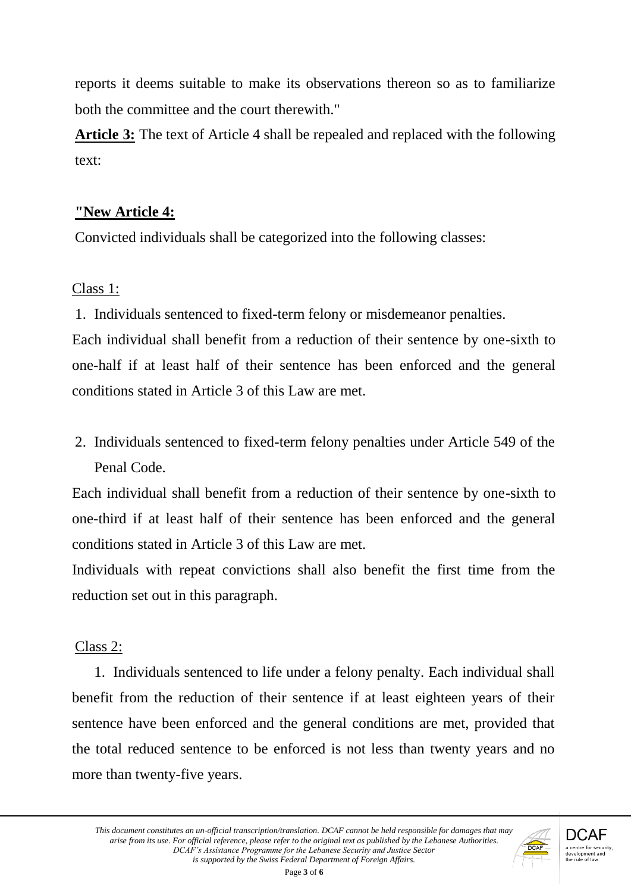reports it deems suitable to make its observations thereon so as to familiarize both the committee and the court therewith."

**Article 3:** The text of Article 4 shall be repealed and replaced with the following text:

### **"New Article 4:**

Convicted individuals shall be categorized into the following classes:

# Class 1:

1. Individuals sentenced to fixed-term felony or misdemeanor penalties.

Each individual shall benefit from a reduction of their sentence by one-sixth to one-half if at least half of their sentence has been enforced and the general conditions stated in Article 3 of this Law are met.

2. Individuals sentenced to fixed-term felony penalties under Article 549 of the Penal Code.

Each individual shall benefit from a reduction of their sentence by one-sixth to one-third if at least half of their sentence has been enforced and the general conditions stated in Article 3 of this Law are met.

Individuals with repeat convictions shall also benefit the first time from the reduction set out in this paragraph.

# Class 2:

1. Individuals sentenced to life under a felony penalty. Each individual shall benefit from the reduction of their sentence if at least eighteen years of their sentence have been enforced and the general conditions are met, provided that the total reduced sentence to be enforced is not less than twenty years and no more than twenty-five years.

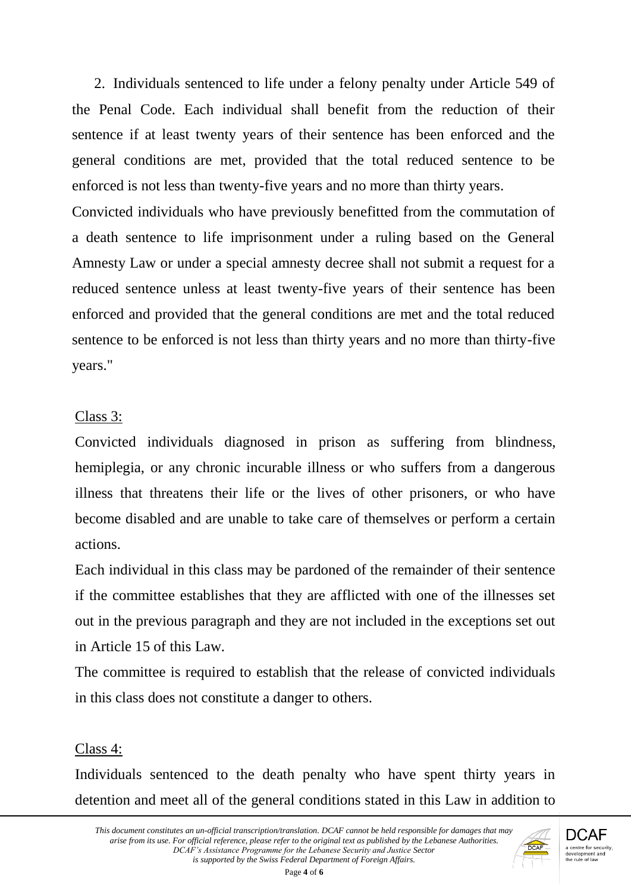2. Individuals sentenced to life under a felony penalty under Article 549 of the Penal Code. Each individual shall benefit from the reduction of their sentence if at least twenty years of their sentence has been enforced and the general conditions are met, provided that the total reduced sentence to be enforced is not less than twenty-five years and no more than thirty years.

Convicted individuals who have previously benefitted from the commutation of a death sentence to life imprisonment under a ruling based on the General Amnesty Law or under a special amnesty decree shall not submit a request for a reduced sentence unless at least twenty-five years of their sentence has been enforced and provided that the general conditions are met and the total reduced sentence to be enforced is not less than thirty years and no more than thirty-five years."

#### Class 3:

Convicted individuals diagnosed in prison as suffering from blindness, hemiplegia, or any chronic incurable illness or who suffers from a dangerous illness that threatens their life or the lives of other prisoners, or who have become disabled and are unable to take care of themselves or perform a certain actions.

Each individual in this class may be pardoned of the remainder of their sentence if the committee establishes that they are afflicted with one of the illnesses set out in the previous paragraph and they are not included in the exceptions set out in Article 15 of this Law.

The committee is required to establish that the release of convicted individuals in this class does not constitute a danger to others.

#### Class 4:

Individuals sentenced to the death penalty who have spent thirty years in detention and meet all of the general conditions stated in this Law in addition to

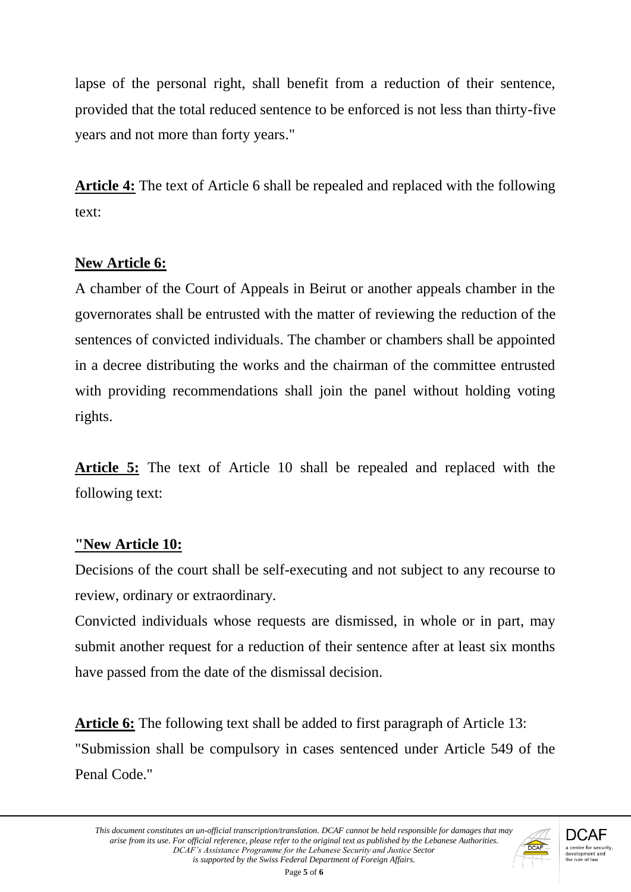lapse of the personal right, shall benefit from a reduction of their sentence, provided that the total reduced sentence to be enforced is not less than thirty-five years and not more than forty years."

**Article 4:** The text of Article 6 shall be repealed and replaced with the following text:

### **New Article 6:**

A chamber of the Court of Appeals in Beirut or another appeals chamber in the governorates shall be entrusted with the matter of reviewing the reduction of the sentences of convicted individuals. The chamber or chambers shall be appointed in a decree distributing the works and the chairman of the committee entrusted with providing recommendations shall join the panel without holding voting rights.

**Article 5:** The text of Article 10 shall be repealed and replaced with the following text:

# **"New Article 10:**

Decisions of the court shall be self-executing and not subject to any recourse to review, ordinary or extraordinary.

Convicted individuals whose requests are dismissed, in whole or in part, may submit another request for a reduction of their sentence after at least six months have passed from the date of the dismissal decision.

**Article 6:** The following text shall be added to first paragraph of Article 13: "Submission shall be compulsory in cases sentenced under Article 549 of the Penal Code."